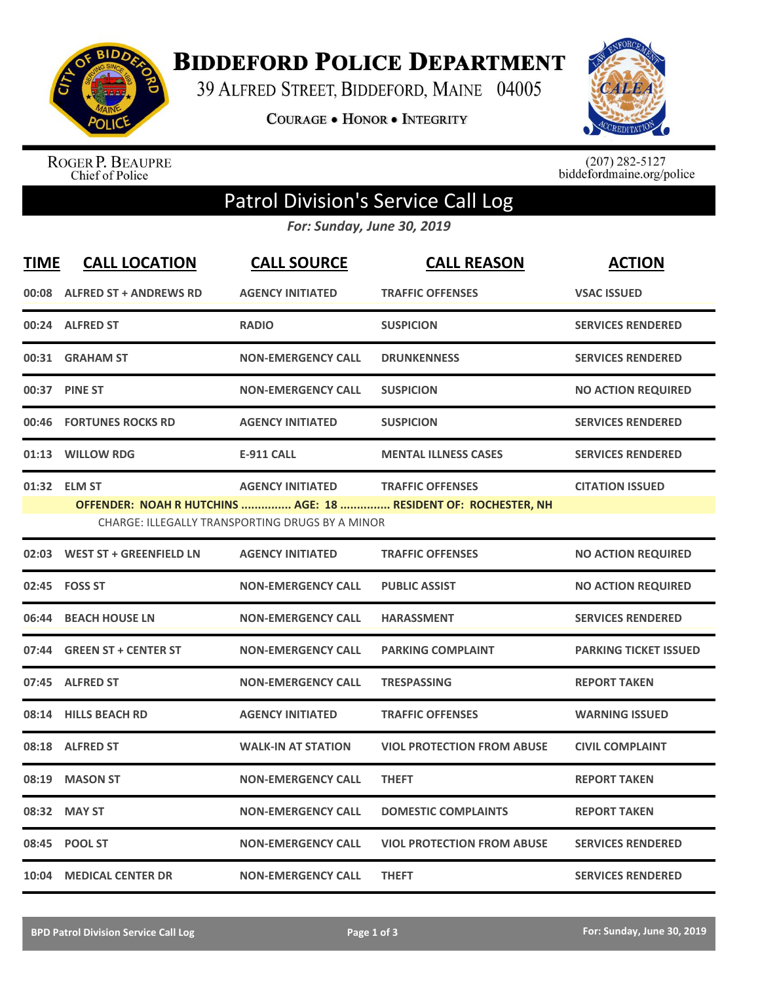

**BIDDEFORD POLICE DEPARTMENT** 

39 ALFRED STREET, BIDDEFORD, MAINE 04005

**COURAGE . HONOR . INTEGRITY** 



ROGER P. BEAUPRE<br>Chief of Police

 $(207)$  282-5127<br>biddefordmaine.org/police

## Patrol Division's Service Call Log

*For: Sunday, June 30, 2019*

| <b>TIME</b>                                                                                                                                                                                                       | <b>CALL LOCATION</b>           | <b>CALL SOURCE</b>        | <b>CALL REASON</b>                | <b>ACTION</b>                |  |
|-------------------------------------------------------------------------------------------------------------------------------------------------------------------------------------------------------------------|--------------------------------|---------------------------|-----------------------------------|------------------------------|--|
| 00:08                                                                                                                                                                                                             | <b>ALFRED ST + ANDREWS RD</b>  | <b>AGENCY INITIATED</b>   | <b>TRAFFIC OFFENSES</b>           | <b>VSAC ISSUED</b>           |  |
|                                                                                                                                                                                                                   | 00:24 ALFRED ST                | <b>RADIO</b>              | <b>SUSPICION</b>                  | <b>SERVICES RENDERED</b>     |  |
| 00:31                                                                                                                                                                                                             | <b>GRAHAM ST</b>               | <b>NON-EMERGENCY CALL</b> | <b>DRUNKENNESS</b>                | <b>SERVICES RENDERED</b>     |  |
| 00:37                                                                                                                                                                                                             | <b>PINE ST</b>                 | <b>NON-EMERGENCY CALL</b> | <b>SUSPICION</b>                  | <b>NO ACTION REQUIRED</b>    |  |
| 00:46                                                                                                                                                                                                             | <b>FORTUNES ROCKS RD</b>       | <b>AGENCY INITIATED</b>   | <b>SUSPICION</b>                  | <b>SERVICES RENDERED</b>     |  |
| 01:13                                                                                                                                                                                                             | <b>WILLOW RDG</b>              | <b>E-911 CALL</b>         | <b>MENTAL ILLNESS CASES</b>       | <b>SERVICES RENDERED</b>     |  |
| 01:32 ELM ST<br><b>AGENCY INITIATED</b><br><b>TRAFFIC OFFENSES</b><br><b>CITATION ISSUED</b><br>OFFENDER: NOAH R HUTCHINS  AGE: 18  RESIDENT OF: ROCHESTER, NH<br>CHARGE: ILLEGALLY TRANSPORTING DRUGS BY A MINOR |                                |                           |                                   |                              |  |
| 02:03                                                                                                                                                                                                             | <b>WEST ST + GREENFIELD LN</b> | <b>AGENCY INITIATED</b>   | <b>TRAFFIC OFFENSES</b>           | <b>NO ACTION REQUIRED</b>    |  |
| 02:45                                                                                                                                                                                                             | <b>FOSS ST</b>                 | <b>NON-EMERGENCY CALL</b> | <b>PUBLIC ASSIST</b>              | <b>NO ACTION REQUIRED</b>    |  |
| 06:44                                                                                                                                                                                                             | <b>BEACH HOUSE LN</b>          | <b>NON-EMERGENCY CALL</b> | <b>HARASSMENT</b>                 | <b>SERVICES RENDERED</b>     |  |
|                                                                                                                                                                                                                   | 07:44 GREEN ST + CENTER ST     | <b>NON-EMERGENCY CALL</b> | <b>PARKING COMPLAINT</b>          | <b>PARKING TICKET ISSUED</b> |  |
| 07:45                                                                                                                                                                                                             | <b>ALFRED ST</b>               | <b>NON-EMERGENCY CALL</b> | <b>TRESPASSING</b>                | <b>REPORT TAKEN</b>          |  |
| 08:14                                                                                                                                                                                                             | <b>HILLS BEACH RD</b>          | <b>AGENCY INITIATED</b>   | <b>TRAFFIC OFFENSES</b>           | <b>WARNING ISSUED</b>        |  |
| 08:18                                                                                                                                                                                                             | <b>ALFRED ST</b>               | <b>WALK-IN AT STATION</b> | <b>VIOL PROTECTION FROM ABUSE</b> | <b>CIVIL COMPLAINT</b>       |  |
| 08:19                                                                                                                                                                                                             | <b>MASON ST</b>                | <b>NON-EMERGENCY CALL</b> | <b>THEFT</b>                      | <b>REPORT TAKEN</b>          |  |
| 08:32                                                                                                                                                                                                             | <b>MAY ST</b>                  | <b>NON-EMERGENCY CALL</b> | <b>DOMESTIC COMPLAINTS</b>        | <b>REPORT TAKEN</b>          |  |
| 08:45                                                                                                                                                                                                             | <b>POOL ST</b>                 | <b>NON-EMERGENCY CALL</b> | <b>VIOL PROTECTION FROM ABUSE</b> | <b>SERVICES RENDERED</b>     |  |
| 10:04                                                                                                                                                                                                             | <b>MEDICAL CENTER DR</b>       | <b>NON-EMERGENCY CALL</b> | <b>THEFT</b>                      | <b>SERVICES RENDERED</b>     |  |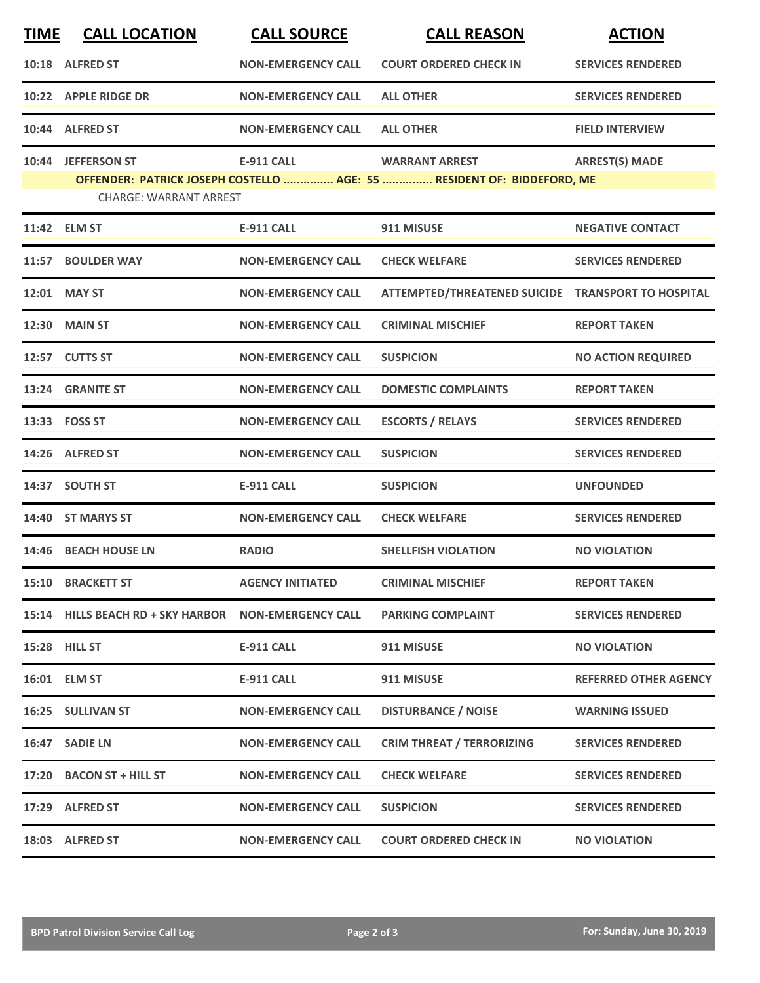| <b>TIME</b> | <b>CALL LOCATION</b>                                 | <b>CALL SOURCE</b>        | <b>CALL REASON</b>                                                     | <b>ACTION</b>                |
|-------------|------------------------------------------------------|---------------------------|------------------------------------------------------------------------|------------------------------|
|             | 10:18 ALFRED ST                                      | <b>NON-EMERGENCY CALL</b> | <b>COURT ORDERED CHECK IN</b>                                          | <b>SERVICES RENDERED</b>     |
|             | 10:22 APPLE RIDGE DR                                 | <b>NON-EMERGENCY CALL</b> | <b>ALL OTHER</b>                                                       | <b>SERVICES RENDERED</b>     |
|             | 10:44 ALFRED ST                                      | <b>NON-EMERGENCY CALL</b> | <b>ALL OTHER</b>                                                       | <b>FIELD INTERVIEW</b>       |
|             | 10:44 JEFFERSON ST                                   | <b>E-911 CALL</b>         | <b>WARRANT ARREST</b>                                                  | <b>ARREST(S) MADE</b>        |
|             | <b>CHARGE: WARRANT ARREST</b>                        |                           | OFFENDER: PATRICK JOSEPH COSTELLO  AGE: 55  RESIDENT OF: BIDDEFORD, ME |                              |
|             | 11:42 ELM ST                                         | <b>E-911 CALL</b>         | 911 MISUSE                                                             | <b>NEGATIVE CONTACT</b>      |
|             | 11:57 BOULDER WAY                                    | <b>NON-EMERGENCY CALL</b> | <b>CHECK WELFARE</b>                                                   | <b>SERVICES RENDERED</b>     |
|             | 12:01 MAY ST                                         | <b>NON-EMERGENCY CALL</b> | ATTEMPTED/THREATENED SUICIDE TRANSPORT TO HOSPITAL                     |                              |
|             | <b>12:30 MAIN ST</b>                                 | <b>NON-EMERGENCY CALL</b> | <b>CRIMINAL MISCHIEF</b>                                               | <b>REPORT TAKEN</b>          |
|             | 12:57 CUTTS ST                                       | <b>NON-EMERGENCY CALL</b> | <b>SUSPICION</b>                                                       | <b>NO ACTION REQUIRED</b>    |
|             | 13:24 GRANITE ST                                     | <b>NON-EMERGENCY CALL</b> | <b>DOMESTIC COMPLAINTS</b>                                             | <b>REPORT TAKEN</b>          |
|             | 13:33 FOSS ST                                        | <b>NON-EMERGENCY CALL</b> | <b>ESCORTS / RELAYS</b>                                                | <b>SERVICES RENDERED</b>     |
|             | 14:26 ALFRED ST                                      | <b>NON-EMERGENCY CALL</b> | <b>SUSPICION</b>                                                       | <b>SERVICES RENDERED</b>     |
|             | 14:37 SOUTH ST                                       | <b>E-911 CALL</b>         | <b>SUSPICION</b>                                                       | <b>UNFOUNDED</b>             |
|             | 14:40 ST MARYS ST                                    | <b>NON-EMERGENCY CALL</b> | <b>CHECK WELFARE</b>                                                   | <b>SERVICES RENDERED</b>     |
|             | 14:46 BEACH HOUSE LN                                 | <b>RADIO</b>              | <b>SHELLFISH VIOLATION</b>                                             | <b>NO VIOLATION</b>          |
|             | 15:10 BRACKETT ST                                    | <b>AGENCY INITIATED</b>   | <b>CRIMINAL MISCHIEF</b>                                               | <b>REPORT TAKEN</b>          |
|             | 15:14 HILLS BEACH RD + SKY HARBOR NON-EMERGENCY CALL |                           | <b>PARKING COMPLAINT</b>                                               | <b>SERVICES RENDERED</b>     |
|             | 15:28 HILL ST                                        | <b>E-911 CALL</b>         | 911 MISUSE                                                             | <b>NO VIOLATION</b>          |
|             | 16:01 ELM ST                                         | E-911 CALL                | 911 MISUSE                                                             | <b>REFERRED OTHER AGENCY</b> |
|             | 16:25 SULLIVAN ST                                    | <b>NON-EMERGENCY CALL</b> | <b>DISTURBANCE / NOISE</b>                                             | <b>WARNING ISSUED</b>        |
|             | 16:47 SADIE LN                                       | <b>NON-EMERGENCY CALL</b> | <b>CRIM THREAT / TERRORIZING</b>                                       | <b>SERVICES RENDERED</b>     |
|             | 17:20 BACON ST + HILL ST                             | <b>NON-EMERGENCY CALL</b> | <b>CHECK WELFARE</b>                                                   | <b>SERVICES RENDERED</b>     |
|             | 17:29 ALFRED ST                                      | <b>NON-EMERGENCY CALL</b> | <b>SUSPICION</b>                                                       | <b>SERVICES RENDERED</b>     |
|             | 18:03 ALFRED ST                                      | <b>NON-EMERGENCY CALL</b> | <b>COURT ORDERED CHECK IN</b>                                          | <b>NO VIOLATION</b>          |